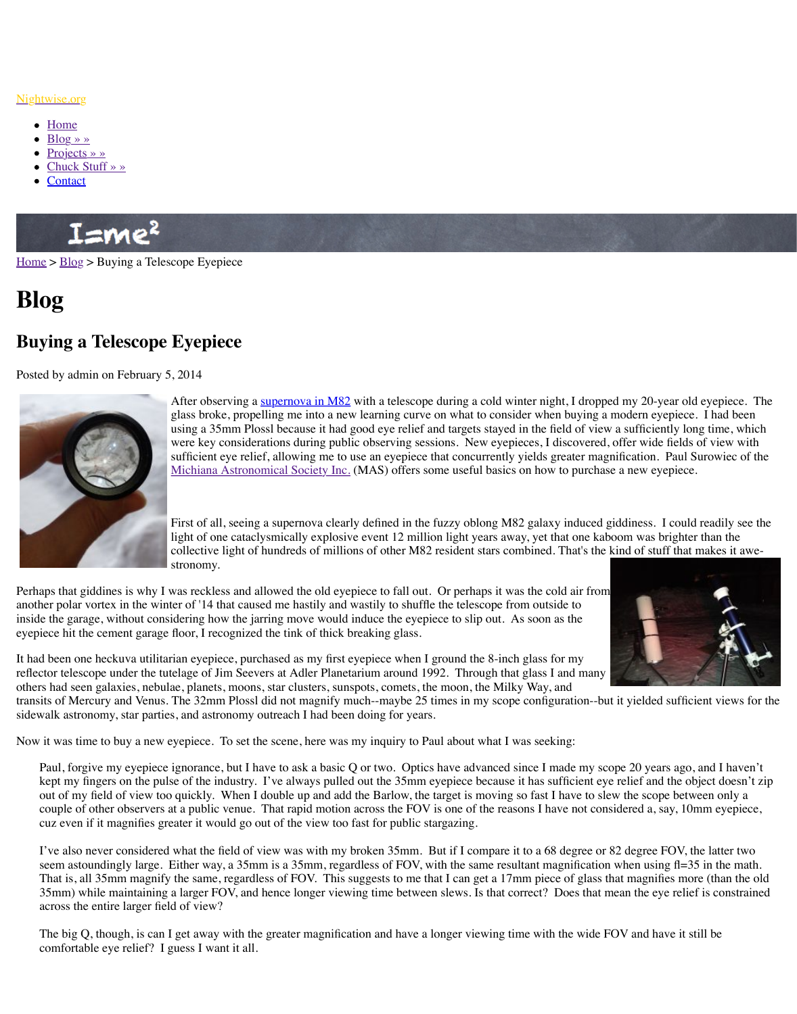

After observing a supernova in M62 with a telescope during a glass broke, propelling me into a new learning curve on what using a 35mm Plossl because it had good eye relief and targe were key considerations during public observing sessions. New eyes sufficient eye relief, allowing me to use an eyepiece that concern Michiana Astronomical Society Inc. (MAS) offers some usef

First of all, seeing a supernova clearly defined in the fuzzy oblashing Mass galaxy in the fuzzy of First. I could read light of one cataclysmically explosive event 12 million light vearcollective light of hundreds of millions of other M82 resident stronomy.

Perha[ps that g](http://www.nightwise.org/contact/)iddines is why I was reckless and allowed the old eyepiece to fall out. Or perhaps that another polar vortex in the winter of '14 that caused me hastily and wastily to shuffle the tele inside the garage, without considering how the jarring move would induce the eyepiece to sl eyepiece hit the cement garage floor, I recognized the tink of thick breaking glass.

[It had](http://www.nightwise.org/) b[een on](http://www.nightwise.org/blog/)e heckuva utilitarian eyepiece, purchased as my first eyepiece when I ground the 8-inch glass for my first eyepiece when I ground the 8-inch glass for my first for my first eyepiece when I ground the 8-inch g reflector telescope under the tutelage of Jim Seevers at Adler Planetarium around 1992. Thr others had seen galaxies, nebulae, planets, moons, star clusters, sunspots, comets, the moon, transits of Mercury and Venus. The 32mm Plossl did not magnify much--maybe 25 times in sidewalk astronomy, star parties, and astronomy outreach I had been doing for years.

Now it was time to buy a new eyepiece. To set the scene, here was my inquiry to Paul about

Paul, forgive my eyepiece ignorance, but I have to ask a basic Q or two. Optics have advanced since T made my scope 20 years and I have  $\alpha$ kept my fingers on the pulse of the industry. I've always pulled out the 35mm eyepiece out of my field of view too quickly. When I [double up and add](http://www.skyandtelescope.com/community/skyblog/observingblog/Bright-Supernova-in-M82-241477661.html) the Barlow, the target is couple of other observers at a public venue. That rapid motion across the FOV is one of cuz even if it magnifies greater it would go out of the view too fast for public stargazing.

I've also never considered what the field of view was with my broken 35mm. But if I c seem astoundingly large. Either way, a 35 mm is a 35 mm, regardless of FOV, with the s That is, all 35mm magnify the same, regardless of FOV. This suggests to me that I can 35mm) while maintaining a larger FOV, and hence longer viewing time between slews. across the entire larger field of view?

The big Q, though, is can I get away with the greater magnification and have a longer view comfortable eye relief? I guess I want it all.